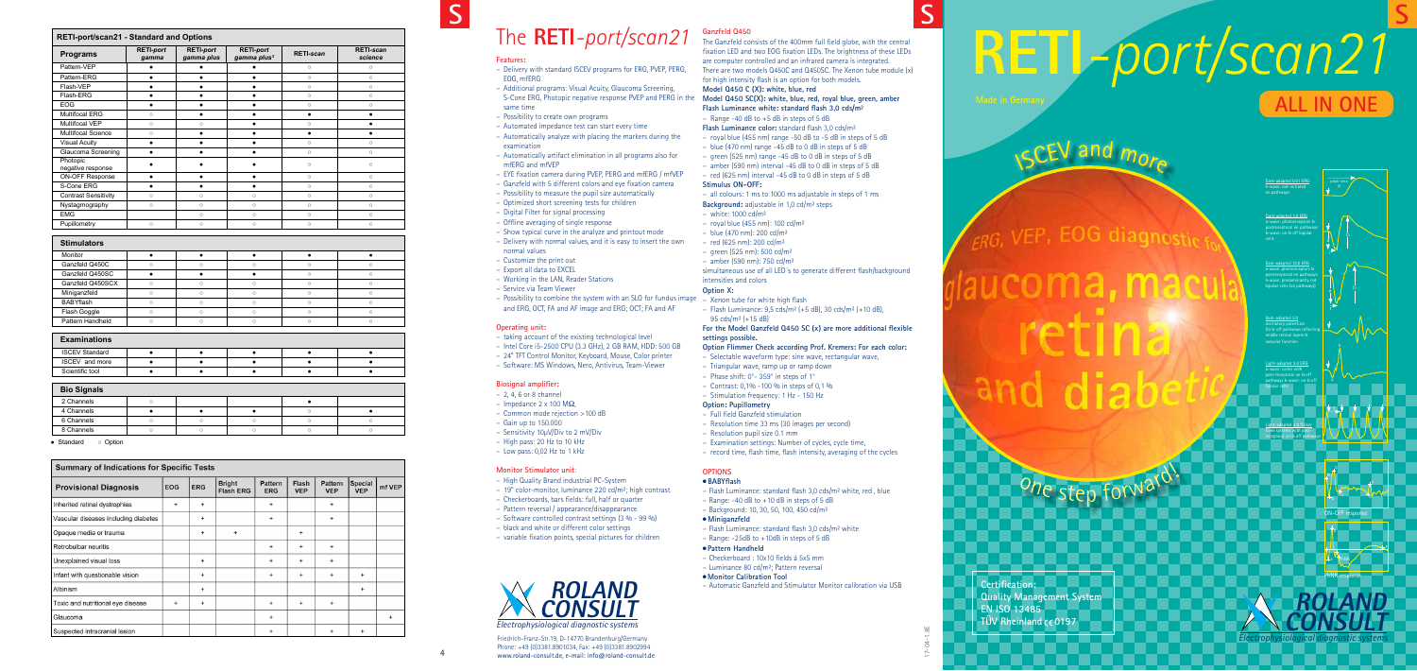**Certification: Quality Management System EN ISO 13485 TÜV Rheinland CE0197** 

i a <mark>PhNF</mark>

# **RETI***-port/scan21* **ALL IN ONE**

**S**

ON-OFF response

b

e

N

 $\overline{\phantom{a}}$  and  $\overline{\phantom{a}}$  contributions of  $\overline{\phantom{a}}$ 

PhNR response

b

4

 $04 - 1.8E$ 17-04-1.8E  $\overline{C}$ 

Phone: +49 (0)3381.8901034, Fax: +49 (0)3381.8902994 www.roland-consult.de, e-mail: info@roland-consult.de

## The **RETI***-port/scan21*

4

## **S**



**S**

 $\sqrt{SCEV}$  and  $m_{O_{F}}$ 

EOG diagnostic

One step forward

|                                                                                                 | f                                |
|-------------------------------------------------------------------------------------------------|----------------------------------|
| Features:                                                                                       | a                                |
| - Delivery with standard ISCEV programs for ERG, PVEP, PERG,<br>EOG, mfERG                      | Τ<br>f                           |
| - Additional programs: Visual Acuity, Glaucoma Screening,                                       | N                                |
| S-Cone ERG, Photopic negative response PVEP and PERG in the                                     | N                                |
| same time                                                                                       | F                                |
| - Possibility to create own programs                                                            | ÷                                |
| - Automated impedance test can start every time                                                 | F                                |
| - Automatically analyze with placing the markers during the                                     |                                  |
| examination                                                                                     |                                  |
| - Automatically artifact elimination in all programs also for                                   | $\frac{1}{\sqrt{2}}$             |
| mfERG and mfVEP                                                                                 |                                  |
| - EYE fixation camera during PVEP, PERG and mfERG / mfVEP                                       |                                  |
| - Ganzfeld with 5 different colors and eye fixation camera                                      |                                  |
| - Possibility to measure the pupil size automatically                                           |                                  |
| - Optimized short screening tests for children                                                  | B                                |
| - Digital Filter for signal processing                                                          |                                  |
| - Offline averaging of single response<br>- Show typical curve in the analyze and printout mode | $\frac{1}{2}$                    |
| - Delivery with normal values, and it is easy to insert the own                                 |                                  |
| normal values                                                                                   |                                  |
| - Customize the print out                                                                       | $\overline{a}$<br>$\overline{a}$ |
| - Export all data to EXCEL                                                                      | S                                |
| - Working in the LAN, Reader Stations                                                           | j)                               |
| - Service via Team Viewer                                                                       | $\mathsf{C}$                     |
| - Possibility to combine the system with an SLO for fundus image                                | Ļ.                               |
| and ERG, OCT, FA and AF image and ERG; OCT; FA and AF                                           | ÷,                               |
| <b>Operating unit:</b>                                                                          | F                                |
| - taking account of the existing technological level                                            | S                                |
| - Intel Core i5-2500 CPU (3.3 GHz), 2 GB RAM, HDD: 500 GB                                       | $\mathsf{C}$                     |
| - 24" TFT Control Monitor, Keyboard, Mouse, Color printer                                       |                                  |
| - Software: MS Windows, Nero, Antivirus, Team-Viewer                                            | -                                |
| <b>Biosignal amplifier:</b>                                                                     | -                                |
| $-2, 4, 6$ or 8 channel                                                                         | f                                |
| - Impedance 2 x 100 M $\Omega$ ,                                                                | $\epsilon$                       |
| - Common mode rejection >100 dB                                                                 |                                  |
| $-$ Gain up to 150.000                                                                          |                                  |
| - Sensitivity 10µV/Div to 2 mV/Div                                                              |                                  |
| - High pass: 20 Hz to 10 kHz                                                                    |                                  |
| - Low pass: 0,02 Hz to 1 kHz                                                                    |                                  |
| <b>Monitor Stimulator unit:</b>                                                                 |                                  |
| - High Quality Brand industrial PC-System                                                       |                                  |
| - 19" color-monitor, luminance 220 cd/m <sup>2</sup> ; high contrast                            |                                  |
| - Checkerboards, bars fields: full, half or quarter                                             |                                  |
| - Pattern reversal / appearance/disappearance                                                   |                                  |
| - Software controlled contrast settings (3 % - 99 %)                                            |                                  |
| - black and white or different color settings                                                   |                                  |
| - variable fixation points, special pictures for children                                       |                                  |
|                                                                                                 |                                  |
|                                                                                                 |                                  |
|                                                                                                 |                                  |
|                                                                                                 |                                  |
| <i><b>ROLAND</b></i>                                                                            |                                  |
|                                                                                                 |                                  |
| <b>CONSULT</b>                                                                                  |                                  |
|                                                                                                 |                                  |
| Electrophysiological diagnostic systems                                                         |                                  |
| Friedrich-Franz-Str.19, D-14770 Brandenburg/Germany                                             |                                  |

**Model Q450 SC(X): white, blue, red, royal blue, green, amber Flash Luminance white: standard flash 3,0 cds/m²** Range -40 dB to  $+5$  dB in steps of 5 dB

– Triangular wave, ramp up or ramp down Phase shift: 0°-359° in steps of 1°

| <b>Programs</b>                                                                    | <b>RETI-port</b><br>gamma |            | <b>RETI-port</b><br>gamma plus |                                   | <b>RETI-port</b><br>gamma plus <sup>2</sup> | <b>RETI-scan</b>    |                       | <b>RETI-scan</b><br>science |        |
|------------------------------------------------------------------------------------|---------------------------|------------|--------------------------------|-----------------------------------|---------------------------------------------|---------------------|-----------------------|-----------------------------|--------|
| Pattern-VEP                                                                        | $\bullet$                 |            | $\bullet$                      | $\bullet$                         |                                             | $\circ$             |                       | $\circ$                     |        |
| Pattern-ERG                                                                        | $\bullet$                 |            | $\bullet$                      | $\bullet$                         |                                             | $\circ$             |                       | $\circ$                     |        |
| Flash-VEP                                                                          | $\bullet$                 |            | $\bullet$                      | $\bullet$                         |                                             | $\circ$             |                       | $\circ$                     |        |
| Flash-ERG                                                                          | $\bullet$                 |            | $\bullet$                      | $\bullet$                         |                                             | $\circ$             |                       | $\circ$                     |        |
| <b>EOG</b>                                                                         | $\bullet$                 |            | $\bullet$                      | $\bullet$                         |                                             | $\circ$             |                       | $\circ$                     |        |
| Multifocal ERG                                                                     | $\circ$                   |            | $\bullet$                      | $\bullet$                         |                                             | $\bullet$           |                       | $\bullet$                   |        |
| Multifocal VEP                                                                     | $\circ$                   |            | $\circ$                        | $\bullet$                         |                                             | $\circ$             |                       | $\bullet$                   |        |
| Multifocal Science                                                                 | $\circ$                   |            | $\bullet$                      | $\bullet$                         |                                             | $\bullet$           |                       | $\bullet$                   |        |
| <b>Visual Acuity</b>                                                               | $\bullet$                 |            | $\bullet$                      | $\bullet$                         |                                             | $\circ$             |                       | $\circ$                     |        |
| Glaucoma Screening                                                                 | $\bullet$                 |            | $\bullet$                      | $\bullet$                         |                                             | $\circ$             |                       | $\circ$                     |        |
| Photopic<br>negative response                                                      | $\bullet$                 |            | $\bullet$                      | ٠                                 |                                             | $\circ$             |                       | $\circ$                     |        |
| <b>ON-OFF Response</b>                                                             | $\bullet$                 |            | $\bullet$                      |                                   | $\bullet$                                   | $\circ$             |                       | $\circ$                     |        |
| S-Cone ERG                                                                         | $\bullet$                 |            | $\bullet$                      | $\bullet$                         |                                             | $\circ$             |                       | $\circ$                     |        |
| <b>Contrast Sensitivity</b>                                                        | $\circ$                   |            | $\circ$                        |                                   | $\circ$                                     | $\circ$             |                       | $\circ$                     |        |
| Nystagmography                                                                     | $\circ$                   |            | $\circ$                        |                                   | $\circ$                                     | $\circ$             |                       | $\circ$                     |        |
| <b>EMG</b>                                                                         |                           |            | $\circ$                        |                                   | $\circ$                                     | $\circ$             |                       | $\circ$                     |        |
| Pupillometry                                                                       | $\circ$                   |            | $\circ$                        |                                   | $\circ$                                     | $\circ$             |                       | $\circ$                     |        |
| <b>Stimulators</b>                                                                 |                           |            |                                |                                   |                                             |                     |                       |                             |        |
| Monitor                                                                            | $\bullet$                 |            | $\bullet$                      |                                   | $\bullet$                                   | $\bullet$           |                       | $\bullet$                   |        |
| Ganzfeld Q450C                                                                     | $\circ$                   |            | $\circ$                        |                                   | $\circ$                                     | $\circ$             |                       | $\circ$                     |        |
| Ganzfeld Q450SC                                                                    | $\bullet$                 |            | $\bullet$                      | $\bullet$                         |                                             | $\circ$             |                       | $\circ$                     |        |
| Ganzfeld Q450SCX                                                                   | $\circ$                   |            | $\circ$                        |                                   | $\circ$                                     | $\circ$             |                       | $\circ$                     |        |
| Miniganzfeld                                                                       | $\circ$                   |            | $\circ$                        |                                   | $\circ$                                     | $\circ$             |                       | $\circ$                     |        |
| <b>BABYflash</b>                                                                   | $\circ$                   |            | $\circ$                        |                                   | $\circ$                                     | $\circ$             |                       | $\circ$                     |        |
| Flash Goggle                                                                       | $\circ$                   |            | $\circ$                        | $\circ$                           |                                             | $\circ$             |                       | $\circ$                     |        |
| Pattern Handheld                                                                   | $\circ$                   |            | $\circ$                        |                                   | $\circ$                                     | $\circ$             |                       | $\circ$                     |        |
| <b>ISCEV Standard</b>                                                              | $\bullet$                 |            | $\bullet$                      | $\bullet$                         |                                             | $\bullet$           |                       | $\bullet$                   |        |
| ISCEV and more                                                                     | $\bullet$                 |            | $\bullet$                      | $\bullet$                         |                                             | $\bullet$           |                       | $\bullet$                   |        |
| Scientific tool                                                                    | $\bullet$                 |            | $\bullet$                      | $\bullet$                         |                                             | $\bullet$           |                       | $\bullet$                   |        |
| <b>Bio Signals</b>                                                                 |                           |            |                                |                                   |                                             |                     |                       |                             |        |
| 2 Channels                                                                         | $\circ$                   |            |                                |                                   |                                             | $\bullet$           |                       |                             |        |
| 4 Channels                                                                         | $\bullet$                 |            | $\bullet$                      |                                   | $\bullet$                                   | $\circ$             |                       | $\bullet$                   |        |
| 6 Channels                                                                         | $\circ$                   |            | $\circ$                        |                                   | $\circ$                                     | $\circ$             |                       | $\circ$                     |        |
| 8 Channels                                                                         | $\circ$                   |            | $\circ$                        |                                   | $\circ$                                     | $\circ$             |                       | $\circ$                     |        |
| o Option<br>$\bullet$ Standard<br><b>Summary of Indications for Specific Tests</b> |                           |            |                                |                                   |                                             |                     |                       |                             |        |
| <b>Provisional Diagnosis</b>                                                       |                           | <b>EOG</b> | <b>ERG</b>                     | <b>Bright</b><br><b>Flash ERG</b> | Pattern<br><b>ERG</b>                       | Flash<br><b>VEP</b> | Pattern<br><b>VEP</b> | Special<br><b>VEP</b>       | mf VEP |
| Inherited retinal dystrophies                                                      |                           | $\ddot{}$  | $^{+}$                         |                                   | $^{+}$                                      |                     | $\ddot{}$             |                             |        |
| Vascular diseases including diabetes                                               |                           |            | $^{+}$                         |                                   | $^{+}$                                      |                     | $\ddot{}$             |                             |        |
| Opaque media or trauma                                                             |                           |            | $\ddot{}$                      | $\ddot{}$                         |                                             | $\ddot{}$           |                       |                             |        |
| Retrobulbar neuritis                                                               |                           |            |                                |                                   | $\ddot{}$                                   | $\ddot{}$           | $\ddot{}$             |                             |        |
| Unexplained visual loss                                                            |                           |            | $\ddot{}$                      |                                   | $^{+}$                                      | $\ddot{}$           | $\ddot{}$             |                             |        |
| Infant with questionable vision                                                    |                           |            | $\ddot{}$                      |                                   | $\ddot{}$                                   | $\ddot{}$           | $\ddot{}$             | $\ddot{}$                   |        |
| Albinism                                                                           |                           |            | $\overline{+}$                 |                                   |                                             |                     |                       | $^{+}$                      |        |
| Toxic and nutritional eye disease                                                  |                           | $\ddot{}$  | $^{+}$                         |                                   | $\ddot{}$                                   | $^{+}$              | $\ddot{}$             |                             |        |
|                                                                                    |                           |            |                                |                                   |                                             |                     |                       |                             |        |
| Glaucoma                                                                           |                           |            |                                |                                   | $^{+}$                                      |                     |                       |                             |        |

Dark-adapted 3.0 oscillatory potentials On & off pathways reflecting middle retinal layers &

### **Ganzfeld Q450**

The Ganzfeld consists of the 400mm full field globe, with the central fixation LED and two EOG fixation LEDs. The brightness of these LEDs are computer controlled and an infrared camera is integrated. There are two models Q450C and Q450SC. The Xenon tube module (x) for high intensity flash is an option for both models.

## **Model Q450 C (X): white, blue, red**

**Flash Luminance color:** standard flash 3,0 cds/m² – royal blue (455 nm) range -50 dB to -5 dB in steps of 5 dB – blue (470 nm) range -45 dB to 0 dB in steps of 5 dB – green (525 nm) range -45 dB to 0 dB in steps of 5 dB amber (590 nm) interval -45 dB to 0 dB in steps of 5 dB – red (625 nm) interval -45 dB to 0 dB in steps of 5 dB

### **Stimulus ON-OFF:**

– all colours: 1 ms to 1000 ms adjustable in steps of 1 ms **Background:** adjustable in 1,0 cd/m² steps – white: 1000 cd/m² – royal blue (455 nm): 100 cd/m²

– blue (470 nm): 200 cd/m²

– red (625 nm): 200 cd/m²

– green (525 nm): 500 cd/m²

– amber (590 nm): 750 cd/m²

simultaneous use of all LED´s to generate different flash/background intensities and colors

### **Option X:**

– Xenon tube for white high flash – Flash Luminance: 9,5 cds/m² (+5 dB), 30 cds/m² (+10 dB), 95 cds/m² (+15 dB)

**For the Model Ganzfeld Q450 SC (x) are more additional flexible settings possible.**

**Option Flimmer Check according Prof. Kremers: For each color:** – Selectable waveform type: sine wave, rectangular wave,

– Contrast: 0,1% -100 % in steps of 0,1 %

– Stimulation frequency: 1 Hz - 150 Hz

### **Option: Pupillometry**

– Full field Ganzfeld stimulation

– Resolution time 33 ms (30 images per second)

– Resolution pupil size 0.1 mm

– Examination settings: Number of cycles, cycle time,

– record time, flash time, flash intensity, averaging of the cycles

## **OPTIONS**

## <sup>l</sup> **BABYflash**

– Flash Luminance: standard flash 3,0 cds/m² white, red , blue Range:  $-40$  dB to  $+10$  dB in steps of 5 dB – Background: 10, 30, 50, 100, 450 cd/m²

<sup>l</sup> **Miniganzfeld**

– Flash Luminance: standard flash 3,0 cds/m² white – Range: -25dB to +10dB in steps of 5 dB

## <sup>l</sup>**Pattern Handheld**

– Checkerboard : 10x10 fields á 5x5 mm – Luminance 80 cd/m²; Pattern reversal

**Monitor Calibration Tool** 

– Automatic Ganzfeld and Stimulator Monitor calibration via USB

Light-adapted 3.0 ERG post-receptoral on & off pathways b-wave: on & off bipolar cells

Light-adapted 3.0 flicker Cone systems with postreceptoral on & off pathways

Dark-adapted 3.0 ERG a-wave: photoreceptors & postreceptoral on pathways b-wave: on & off bipolar cells

Dark-adapted 0.01 ERG b-wave: rod-initiated on pathways

Dark-adapted 10.0 ERG a-wave: photoreceptors & postreceptoral on pathways b-wave: predominantly rod bipolar cells (on pathways)

b

 $\frac{1}{9}$   $\frac{1}{9}$ 

b

peak time